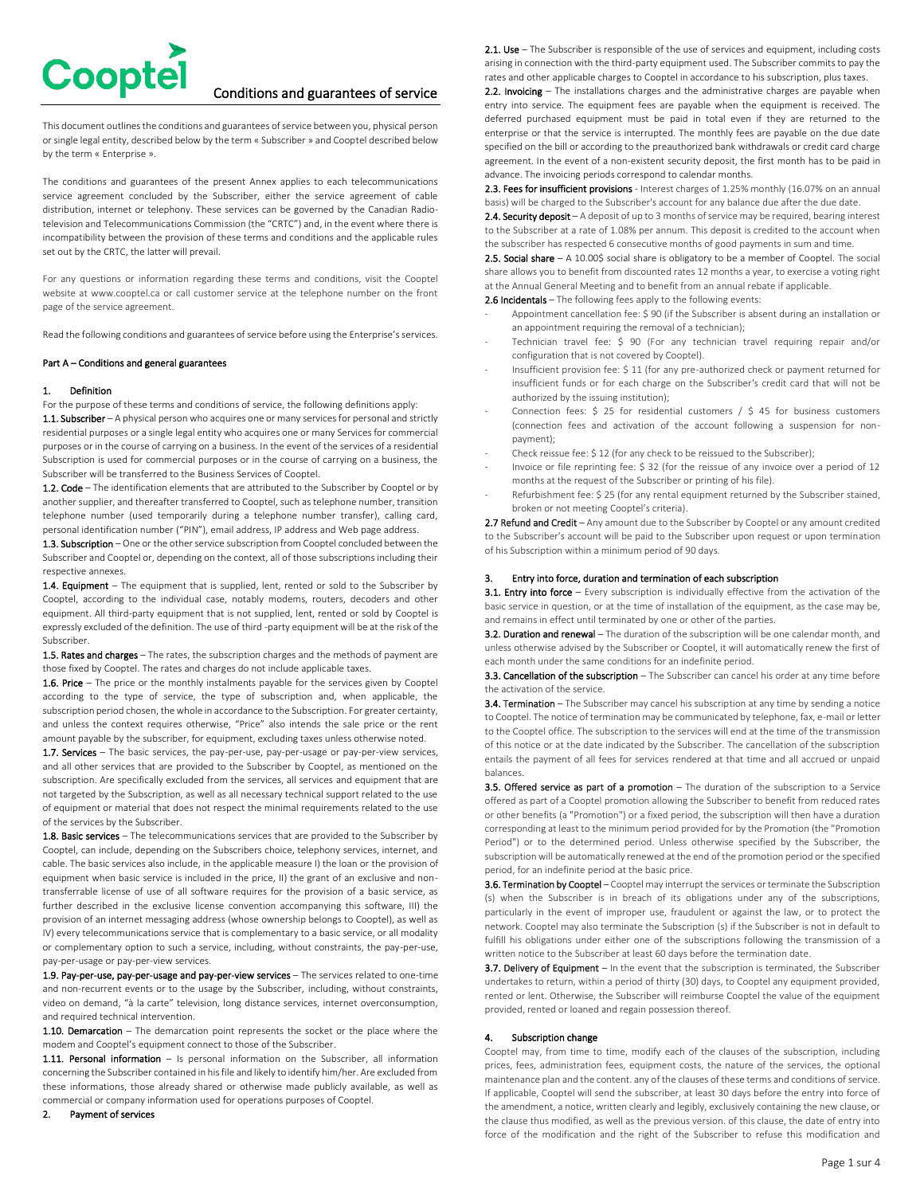

# Conditions and guarantees of service

This document outlines the conditions and guarantees of service between you, physical person or single legal entity, described below by the term « Subscriber » and Cooptel described below by the term « Enterprise ».

The conditions and guarantees of the present Annex applies to each telecommunications service agreement concluded by the Subscriber, either the service agreement of cable distribution, internet or telephony. These services can be governed by the Canadian Radiotelevision and Telecommunications Commission (the "CRTC") and, in the event where there is incompatibility between the provision of these terms and conditions and the applicable rules set out by the CRTC, the latter will prevail.

For any questions or information regarding these terms and conditions, visit the Cooptel website at www.cooptel.ca or call customer service at the telephone number on the front page of the service agreement.

Read the following conditions and guarantees of service before using the Enterprise's services.

## Part A – Conditions and general guarantees

## 1. Definition

For the purpose of these terms and conditions of service, the following definitions apply: 1.1. Subscriber - A physical person who acquires one or many services for personal and strictly residential purposes or a single legal entity who acquires one or many Services for commercial purposes or in the course of carrying on a business. In the event of the services of a residential Subscription is used for commercial purposes or in the course of carrying on a business, the Subscriber will be transferred to the Business Services of Cooptel.

1.2. Code – The identification elements that are attributed to the Subscriber by Cooptel or by another supplier, and thereafter transferred to Cooptel, such as telephone number, transition telephone number (used temporarily during a telephone number transfer), calling card, personal identification number ("PIN"), email address, IP address and Web page address.

1.3. Subscription – One or the other service subscription from Cooptel concluded between the Subscriber and Cooptel or, depending on the context, all of those subscriptions including their respective annexes.

1.4. Equipment - The equipment that is supplied, lent, rented or sold to the Subscriber by Cooptel, according to the individual case, notably modems, routers, decoders and other equipment. All third-party equipment that is not supplied, lent, rented or sold by Cooptel is expressly excluded of the definition. The use of third -party equipment will be at the risk of the Subscriber.

1.5. Rates and charges - The rates, the subscription charges and the methods of payment are those fixed by Cooptel. The rates and charges do not include applicable taxes.

**1.6. Price** – The price or the monthly instalments payable for the services given by Cooptel according to the type of service, the type of subscription and, when applicable, the subscription period chosen, the whole in accordance to the Subscription. For greater certainty, and unless the context requires otherwise, "Price" also intends the sale price or the rent amount payable by the subscriber, for equipment, excluding taxes unless otherwise noted.

1.7. Services - The basic services, the pay-per-use, pay-per-usage or pay-per-view services, and all other services that are provided to the Subscriber by Cooptel, as mentioned on the subscription. Are specifically excluded from the services, all services and equipment that are not targeted by the Subscription, as well as all necessary technical support related to the use of equipment or material that does not respect the minimal requirements related to the use of the services by the Subscriber.

1.8. Basic services - The telecommunications services that are provided to the Subscriber by Cooptel, can include, depending on the Subscribers choice, telephony services, internet, and cable. The basic services also include, in the applicable measure I) the loan or the provision of equipment when basic service is included in the price, II) the grant of an exclusive and nontransferrable license of use of all software requires for the provision of a basic service, as further described in the exclusive license convention accompanying this software, III) the provision of an internet messaging address (whose ownership belongs to Cooptel), as well as IV) every telecommunications service that is complementary to a basic service, or all modality or complementary option to such a service, including, without constraints, the pay-per-use, pay-per-usage or pay-per-view services.

1.9. Pay-per-use, pay-per-usage and pay-per-view services – The services related to one-time and non-recurrent events or to the usage by the Subscriber, including, without constraints, video on demand, "à la carte" television, long distance services, internet overconsumption, and required technical intervention.

1.10. Demarcation - The demarcation point represents the socket or the place where the modem and Cooptel's equipment connect to those of the Subscriber.

1.11. Personal information - Is personal information on the Subscriber, all information concerning the Subscriber contained in his file and likely to identify him/her. Are excluded from these informations, those already shared or otherwise made publicly available, as well as commercial or company information used for operations purposes of Cooptel.

#### 2. Payment of services

2.1. Use – The Subscriber is responsible of the use of services and equipment, including costs arising in connection with the third-party equipment used. The Subscriber commits to pay the rates and other applicable charges to Cooptel in accordance to his subscription, plus taxes.

2.2. Invoicing - The installations charges and the administrative charges are payable when entry into service. The equipment fees are payable when the equipment is received. The deferred purchased equipment must be paid in total even if they are returned to the enterprise or that the service is interrupted. The monthly fees are payable on the due date specified on the bill or according to the preauthorized bank withdrawals or credit card charge agreement. In the event of a non-existent security deposit, the first month has to be paid in advance. The invoicing periods correspond to calendar months.

2.3. Fees for insufficient provisions - Interest charges of 1.25% monthly (16.07% on an annual basis) will be charged to the Subscriber's account for any balance due after the due date.

2.4. Security deposit - A deposit of up to 3 months of service may be required, bearing interest to the Subscriber at a rate of 1.08% per annum. This deposit is credited to the account when the subscriber has respected 6 consecutive months of good payments in sum and time.

2.5. Social share  $- A 10.005$  social share is obligatory to be a member of Cooptel. The social share allows you to benefit from discounted rates 12 months a year, to exercise a voting right at the Annual General Meeting and to benefit from an annual rebate if applicable.

2.6 Incidentals - The following fees apply to the following events:

- Appointment cancellation fee: \$ 90 (if the Subscriber is absent during an installation or an appointment requiring the removal of a technician);
- Technician travel fee: \$ 90 (For any technician travel requiring repair and/or configuration that is not covered by Cooptel).
- Insufficient provision fee: \$ 11 (for any pre-authorized check or payment returned for insufficient funds or for each charge on the Subscriber's credit card that will not be authorized by the issuing institution);
- Connection fees: \$ 25 for residential customers / \$ 45 for business customers (connection fees and activation of the account following a suspension for nonpayment);
- Check reissue fee: \$ 12 (for any check to be reissued to the Subscriber);
- Invoice or file reprinting fee: \$ 32 (for the reissue of any invoice over a period of 12 months at the request of the Subscriber or printing of his file).
- Refurbishment fee: \$ 25 (for any rental equipment returned by the Subscriber stained, broken or not meeting Cooptel's criteria).

2.7 Refund and Credit – Any amount due to the Subscriber by Cooptel or any amount credited to the Subscriber's account will be paid to the Subscriber upon request or upon termination of his Subscription within a minimum period of 90 days.

# 3. Entry into force, duration and termination of each subscription

3.1. Entry into force – Every subscription is individually effective from the activation of the basic service in question, or at the time of installation of the equipment, as the case may be, and remains in effect until terminated by one or other of the parties.

3.2. Duration and renewal – The duration of the subscription will be one calendar month, and unless otherwise advised by the Subscriber or Cooptel, it will automatically renew the first of each month under the same conditions for an indefinite period.

3.3. Cancellation of the subscription - The Subscriber can cancel his order at any time before the activation of the service.

3.4. Termination - The Subscriber may cancel his subscription at any time by sending a notice to Cooptel. The notice of termination may be communicated by telephone, fax, e-mail or letter to the Cooptel office. The subscription to the services will end at the time of the transmission of this notice or at the date indicated by the Subscriber. The cancellation of the subscription entails the payment of all fees for services rendered at that time and all accrued or unpaid balances.

3.5. Offered service as part of a promotion – The duration of the subscription to a Service offered as part of a Cooptel promotion allowing the Subscriber to benefit from reduced rates or other benefits (a "Promotion") or a fixed period, the subscription will then have a duration corresponding at least to the minimum period provided for by the Promotion (the "Promotion Period") or to the determined period. Unless otherwise specified by the Subscriber, the subscription will be automatically renewed at the end of the promotion period or the specified period, for an indefinite period at the basic price.

3.6. Termination by Cooptel - Cooptel may interrupt the services or terminate the Subscription (s) when the Subscriber is in breach of its obligations under any of the subscriptions, particularly in the event of improper use, fraudulent or against the law, or to protect the network. Cooptel may also terminate the Subscription (s) if the Subscriber is not in default to fulfill his obligations under either one of the subscriptions following the transmission of a written notice to the Subscriber at least 60 days before the termination date.

3.7. Delivery of Equipment – In the event that the subscription is terminated, the Subscriber undertakes to return, within a period of thirty (30) days, to Cooptel any equipment provided, rented or lent. Otherwise, the Subscriber will reimburse Cooptel the value of the equipment provided, rented or loaned and regain possession thereof.

# 4. Subscription change

Cooptel may, from time to time, modify each of the clauses of the subscription, including prices, fees, administration fees, equipment costs, the nature of the services, the optional maintenance plan and the content. any of the clauses of these terms and conditions of service. If applicable, Cooptel will send the subscriber, at least 30 days before the entry into force of the amendment, a notice, written clearly and legibly, exclusively containing the new clause, or the clause thus modified, as well as the previous version. of this clause, the date of entry into force of the modification and the right of the Subscriber to refuse this modification and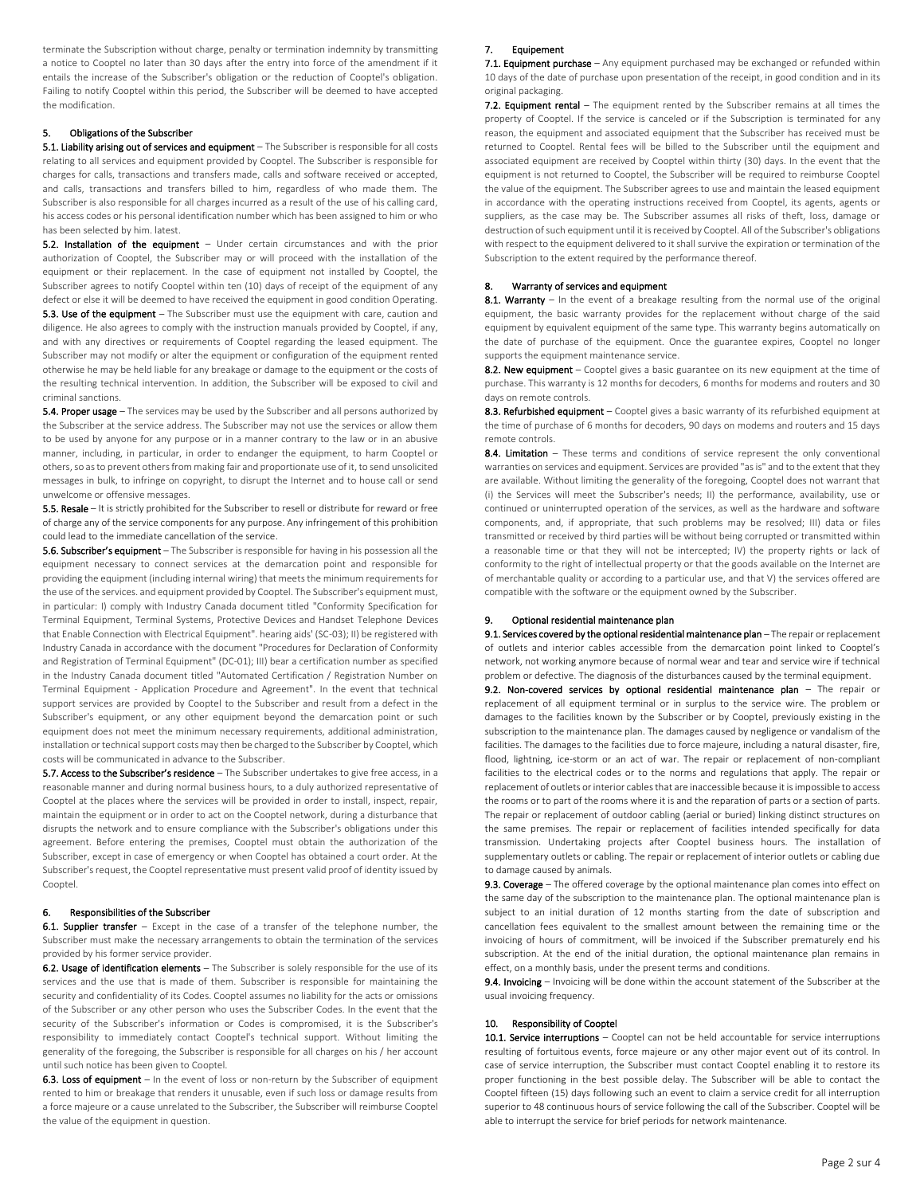terminate the Subscription without charge, penalty or termination indemnity by transmitting a notice to Cooptel no later than 30 days after the entry into force of the amendment if it entails the increase of the Subscriber's obligation or the reduction of Cooptel's obligation. Failing to notify Cooptel within this period, the Subscriber will be deemed to have accepted the modification.

# 5. Obligations of the Subscriber

5.1. Liability arising out of services and equipment - The Subscriber is responsible for all costs relating to all services and equipment provided by Cooptel. The Subscriber is responsible for charges for calls, transactions and transfers made, calls and software received or accepted, and calls, transactions and transfers billed to him, regardless of who made them. The Subscriber is also responsible for all charges incurred as a result of the use of his calling card, his access codes or his personal identification number which has been assigned to him or who has been selected by him. latest.

5.2. Installation of the equipment - Under certain circumstances and with the prior authorization of Cooptel, the Subscriber may or will proceed with the installation of the equipment or their replacement. In the case of equipment not installed by Cooptel, the Subscriber agrees to notify Cooptel within ten (10) days of receipt of the equipment of any defect or else it will be deemed to have received the equipment in good condition Operating. 5.3. Use of the equipment - The Subscriber must use the equipment with care, caution and diligence. He also agrees to comply with the instruction manuals provided by Cooptel, if any, and with any directives or requirements of Cooptel regarding the leased equipment. The Subscriber may not modify or alter the equipment or configuration of the equipment rented otherwise he may be held liable for any breakage or damage to the equipment or the costs of the resulting technical intervention. In addition, the Subscriber will be exposed to civil and criminal sanctions.

5.4. Proper usage – The services may be used by the Subscriber and all persons authorized by the Subscriber at the service address. The Subscriber may not use the services or allow them to be used by anyone for any purpose or in a manner contrary to the law or in an abusive manner, including, in particular, in order to endanger the equipment, to harm Cooptel or others, so as to prevent others from making fair and proportionate use of it, to send unsolicited messages in bulk, to infringe on copyright, to disrupt the Internet and to house call or send unwelcome or offensive messages.

5.5. Resale – It is strictly prohibited for the Subscriber to resell or distribute for reward or free of charge any of the service components for any purpose. Any infringement of this prohibition could lead to the immediate cancellation of the service.

**5.6. Subscriber's equipment** – The Subscriber is responsible for having in his possession all the equipment necessary to connect services at the demarcation point and responsible for providing the equipment (including internal wiring) that meets the minimum requirements for the use of the services. and equipment provided by Cooptel. The Subscriber's equipment must, in particular: I) comply with Industry Canada document titled "Conformity Specification for Terminal Equipment, Terminal Systems, Protective Devices and Handset Telephone Devices that Enable Connection with Electrical Equipment". hearing aids' (SC-03); II) be registered with Industry Canada in accordance with the document "Procedures for Declaration of Conformity and Registration of Terminal Equipment" (DC-01); III) bear a certification number as specified in the Industry Canada document titled "Automated Certification / Registration Number on Terminal Equipment - Application Procedure and Agreement". In the event that technical support services are provided by Cooptel to the Subscriber and result from a defect in the Subscriber's equipment, or any other equipment beyond the demarcation point or such equipment does not meet the minimum necessary requirements, additional administration, installation or technical support costs may then be charged to the Subscriber by Cooptel, which costs will be communicated in advance to the Subscriber.

5.7. Access to the Subscriber's residence - The Subscriber undertakes to give free access, in a reasonable manner and during normal business hours, to a duly authorized representative of Cooptel at the places where the services will be provided in order to install, inspect, repair, maintain the equipment or in order to act on the Cooptel network, during a disturbance that disrupts the network and to ensure compliance with the Subscriber's obligations under this agreement. Before entering the premises, Cooptel must obtain the authorization of the Subscriber, except in case of emergency or when Cooptel has obtained a court order. At the Subscriber's request, the Cooptel representative must present valid proof of identity issued by Cooptel.

## 6. Responsibilities of the Subscriber

6.1. Supplier transfer - Except in the case of a transfer of the telephone number, the Subscriber must make the necessary arrangements to obtain the termination of the services provided by his former service provider.

6.2. Usage of identification elements - The Subscriber is solely responsible for the use of its services and the use that is made of them. Subscriber is responsible for maintaining the security and confidentiality of its Codes. Cooptel assumes no liability for the acts or omissions of the Subscriber or any other person who uses the Subscriber Codes. In the event that the security of the Subscriber's information or Codes is compromised, it is the Subscriber's responsibility to immediately contact Cooptel's technical support. Without limiting the generality of the foregoing, the Subscriber is responsible for all charges on his / her account until such notice has been given to Cooptel.

6.3. Loss of equipment - In the event of loss or non-return by the Subscriber of equipment rented to him or breakage that renders it unusable, even if such loss or damage results from a force majeure or a cause unrelated to the Subscriber, the Subscriber will reimburse Cooptel the value of the equipment in question.

## 7. Equipement

7.1. Equipment purchase - Any equipment purchased may be exchanged or refunded within 10 days of the date of purchase upon presentation of the receipt, in good condition and in its original packaging.

7.2. Equipment rental – The equipment rented by the Subscriber remains at all times the property of Cooptel. If the service is canceled or if the Subscription is terminated for any reason, the equipment and associated equipment that the Subscriber has received must be returned to Cooptel. Rental fees will be billed to the Subscriber until the equipment and associated equipment are received by Cooptel within thirty (30) days. In the event that the equipment is not returned to Cooptel, the Subscriber will be required to reimburse Cooptel the value of the equipment. The Subscriber agrees to use and maintain the leased equipment in accordance with the operating instructions received from Cooptel, its agents, agents or suppliers, as the case may be. The Subscriber assumes all risks of theft, loss, damage or destruction of such equipment until it is received by Cooptel. All of the Subscriber's obligations with respect to the equipment delivered to it shall survive the expiration or termination of the Subscription to the extent required by the performance thereof.

## Warranty of services and equipment

8.1. Warranty – In the event of a breakage resulting from the normal use of the original equipment, the basic warranty provides for the replacement without charge of the said equipment by equivalent equipment of the same type. This warranty begins automatically on the date of purchase of the equipment. Once the guarantee expires, Cooptel no longer supports the equipment maintenance service.

8.2. New equipment - Cooptel gives a basic guarantee on its new equipment at the time of purchase. This warranty is 12 months for decoders, 6 months for modems and routers and 30 days on remote controls.

8.3. Refurbished equipment – Cooptel gives a basic warranty of its refurbished equipment at the time of purchase of 6 months for decoders, 90 days on modems and routers and 15 days remote controls.

8.4. Limitation - These terms and conditions of service represent the only conventional warranties on services and equipment. Services are provided "as is" and to the extent that they are available. Without limiting the generality of the foregoing, Cooptel does not warrant that (i) the Services will meet the Subscriber's needs; II) the performance, availability, use or continued or uninterrupted operation of the services, as well as the hardware and software components, and, if appropriate, that such problems may be resolved; III) data or files transmitted or received by third parties will be without being corrupted or transmitted within a reasonable time or that they will not be intercepted; IV) the property rights or lack of conformity to the right of intellectual property or that the goods available on the Internet are of merchantable quality or according to a particular use, and that V) the services offered are compatible with the software or the equipment owned by the Subscriber.

## 9. Optional residential maintenance plan

9.1. Services covered by the optional residential maintenance plan – The repair or replacement of outlets and interior cables accessible from the demarcation point linked to Cooptel's network, not working anymore because of normal wear and tear and service wire if technical problem or defective. The diagnosis of the disturbances caused by the terminal equipment. 9.2. Non-covered services by optional residential maintenance plan - The repair or replacement of all equipment terminal or in surplus to the service wire. The problem or damages to the facilities known by the Subscriber or by Cooptel, previously existing in the subscription to the maintenance plan. The damages caused by negligence or vandalism of the facilities. The damages to the facilities due to force majeure, including a natural disaster, fire, flood, lightning, ice-storm or an act of war. The repair or replacement of non-compliant facilities to the electrical codes or to the norms and regulations that apply. The repair or replacement of outlets or interior cables that are inaccessible because it is impossible to access the rooms or to part of the rooms where it is and the reparation of parts or a section of parts. The repair or replacement of outdoor cabling (aerial or buried) linking distinct structures on the same premises. The repair or replacement of facilities intended specifically for data transmission. Undertaking projects after Cooptel business hours. The installation of supplementary outlets or cabling. The repair or replacement of interior outlets or cabling due to damage caused by animals.

9.3. Coverage – The offered coverage by the optional maintenance plan comes into effect on the same day of the subscription to the maintenance plan. The optional maintenance plan is subject to an initial duration of 12 months starting from the date of subscription and cancellation fees equivalent to the smallest amount between the remaining time or the invoicing of hours of commitment, will be invoiced if the Subscriber prematurely end his subscription. At the end of the initial duration, the optional maintenance plan remains in effect, on a monthly basis, under the present terms and conditions.

9.4. Invoicing – Invoicing will be done within the account statement of the Subscriber at the usual invoicing frequency.

# 10. Responsibility of Cooptel

10.1. Service interruptions - Cooptel can not be held accountable for service interruptions resulting of fortuitous events, force majeure or any other major event out of its control. In case of service interruption, the Subscriber must contact Cooptel enabling it to restore its proper functioning in the best possible delay. The Subscriber will be able to contact the Cooptel fifteen (15) days following such an event to claim a service credit for all interruption superior to 48 continuous hours of service following the call of the Subscriber. Cooptel will be able to interrupt the service for brief periods for network maintenance.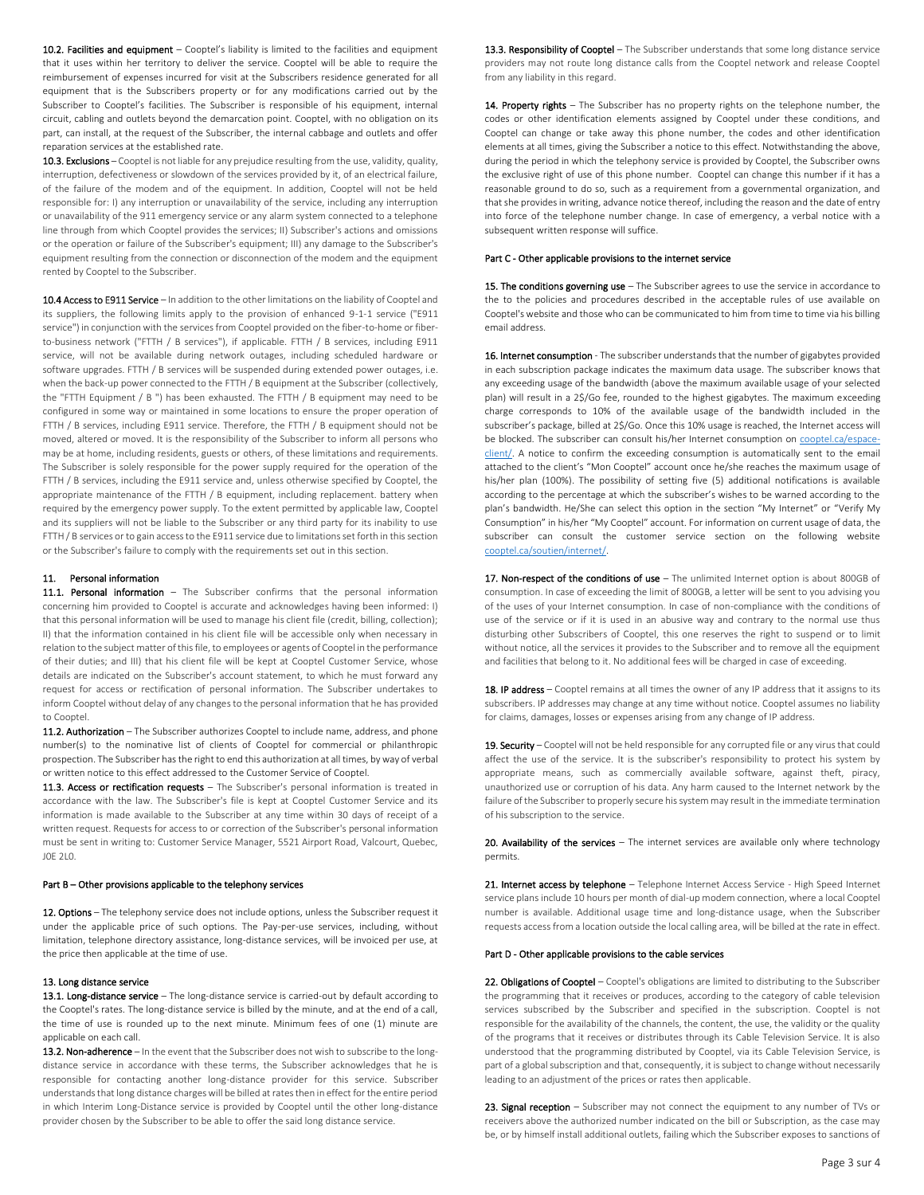10.2. Facilities and equipment - Cooptel's liability is limited to the facilities and equipment that it uses within her territory to deliver the service. Cooptel will be able to require the reimbursement of expenses incurred for visit at the Subscribers residence generated for all equipment that is the Subscribers property or for any modifications carried out by the Subscriber to Cooptel's facilities. The Subscriber is responsible of his equipment, internal circuit, cabling and outlets beyond the demarcation point. Cooptel, with no obligation on its part, can install, at the request of the Subscriber, the internal cabbage and outlets and offer reparation services at the established rate.

10.3. Exclusions - Cooptel is not liable for any prejudice resulting from the use, validity, quality, interruption, defectiveness or slowdown of the services provided by it, of an electrical failure, of the failure of the modem and of the equipment. In addition, Cooptel will not be held responsible for: I) any interruption or unavailability of the service, including any interruption or unavailability of the 911 emergency service or any alarm system connected to a telephone line through from which Cooptel provides the services; II) Subscriber's actions and omissions or the operation or failure of the Subscriber's equipment; III) any damage to the Subscriber's equipment resulting from the connection or disconnection of the modem and the equipment rented by Cooptel to the Subscriber.

10.4 Access to E911 Service – In addition to the other limitations on the liability of Cooptel and its suppliers, the following limits apply to the provision of enhanced 9-1-1 service ("E911 service") in conjunction with the services from Cooptel provided on the fiber-to-home or fiberto-business network ("FTTH / B services"), if applicable. FTTH / B services, including E911 service, will not be available during network outages, including scheduled hardware or software upgrades. FTTH / B services will be suspended during extended power outages, i.e. when the back-up power connected to the FTTH / B equipment at the Subscriber (collectively, the "FTTH Equipment / B ") has been exhausted. The FTTH / B equipment may need to be configured in some way or maintained in some locations to ensure the proper operation of FTTH / B services, including E911 service. Therefore, the FTTH / B equipment should not be moved, altered or moved. It is the responsibility of the Subscriber to inform all persons who may be at home, including residents, guests or others, of these limitations and requirements. The Subscriber is solely responsible for the power supply required for the operation of the FTTH / B services, including the E911 service and, unless otherwise specified by Cooptel, the appropriate maintenance of the FTTH / B equipment, including replacement. battery when required by the emergency power supply. To the extent permitted by applicable law, Cooptel and its suppliers will not be liable to the Subscriber or any third party for its inability to use FTTH / B services or to gain access to the E911 service due to limitations set forth in this section or the Subscriber's failure to comply with the requirements set out in this section.

### 11. Personal information

11.1. Personal information - The Subscriber confirms that the personal information concerning him provided to Cooptel is accurate and acknowledges having been informed: I) that this personal information will be used to manage his client file (credit, billing, collection); II) that the information contained in his client file will be accessible only when necessary in relation to the subject matter of this file, to employees or agents of Cooptel in the performance of their duties; and III) that his client file will be kept at Cooptel Customer Service, whose details are indicated on the Subscriber's account statement, to which he must forward any request for access or rectification of personal information. The Subscriber undertakes to inform Cooptel without delay of any changes to the personal information that he has provided to Cooptel.

11.2. Authorization – The Subscriber authorizes Cooptel to include name, address, and phone number(s) to the nominative list of clients of Cooptel for commercial or philanthropic prospection. The Subscriber has the right to end this authorization at all times, by way of verbal or written notice to this effect addressed to the Customer Service of Cooptel.

11.3. Access or rectification requests - The Subscriber's personal information is treated in accordance with the law. The Subscriber's file is kept at Cooptel Customer Service and its information is made available to the Subscriber at any time within 30 days of receipt of a written request. Requests for access to or correction of the Subscriber's personal information must be sent in writing to: Customer Service Manager, 5521 Airport Road, Valcourt, Quebec, J0E 2L0.

#### Part B – Other provisions applicable to the telephony services

12. Options - The telephony service does not include options, unless the Subscriber request it under the applicable price of such options. The Pay-per-use services, including, without limitation, telephone directory assistance, long-distance services, will be invoiced per use, at the price then applicable at the time of use.

#### 13. Long distance service

13.1. Long-distance service - The long-distance service is carried-out by default according to the Cooptel's rates. The long-distance service is billed by the minute, and at the end of a call, the time of use is rounded up to the next minute. Minimum fees of one (1) minute are applicable on each call.

13.2. Non-adherence - In the event that the Subscriber does not wish to subscribe to the longdistance service in accordance with these terms, the Subscriber acknowledges that he is responsible for contacting another long-distance provider for this service. Subscriber understands that long distance charges will be billed at rates then in effect for the entire period in which Interim Long-Distance service is provided by Cooptel until the other long-distance provider chosen by the Subscriber to be able to offer the said long distance service.

13.3. Responsibility of Cooptel - The Subscriber understands that some long distance service providers may not route long distance calls from the Cooptel network and release Cooptel from any liability in this regard.

14. Property rights - The Subscriber has no property rights on the telephone number, the codes or other identification elements assigned by Cooptel under these conditions, and Cooptel can change or take away this phone number, the codes and other identification elements at all times, giving the Subscriber a notice to this effect. Notwithstanding the above, during the period in which the telephony service is provided by Cooptel, the Subscriber owns the exclusive right of use of this phone number. Cooptel can change this number if it has a reasonable ground to do so, such as a requirement from a governmental organization, and that she provides in writing, advance notice thereof, including the reason and the date of entry into force of the telephone number change. In case of emergency, a verbal notice with a subsequent written response will suffice.

## Part C - Other applicable provisions to the internet service

15. The conditions governing use - The Subscriber agrees to use the service in accordance to the to the policies and procedures described in the acceptable rules of use available on Cooptel's website and those who can be communicated to him from time to time via his billing email address.

16. Internet consumption - The subscriber understands that the number of gigabytes provided in each subscription package indicates the maximum data usage. The subscriber knows that any exceeding usage of the bandwidth (above the maximum available usage of your selected plan) will result in a 2\$/Go fee, rounded to the highest gigabytes. The maximum exceeding charge corresponds to 10% of the available usage of the bandwidth included in the subscriber's package, billed at 2\$/Go. Once this 10% usage is reached, the Internet access will be blocked. The subscriber can consult his/her Internet consumption o[n cooptel.ca/espace](file://///192.168.100.10/texte/Commercialisation/04-Littérature-documents%20finaux/Légal/cooptel.ca/espace-client/)[client/.](file://///192.168.100.10/texte/Commercialisation/04-Littérature-documents%20finaux/Légal/cooptel.ca/espace-client/) A notice to confirm the exceeding consumption is automatically sent to the email attached to the client's "Mon Cooptel" account once he/she reaches the maximum usage of his/her plan (100%). The possibility of setting five (5) additional notifications is available according to the percentage at which the subscriber's wishes to be warned according to the plan's bandwidth. He/She can select this option in the section "My Internet" or "Verify My Consumption" in his/her "My Cooptel" account. For information on current usage of data, the subscriber can consult the customer service section on the following website [cooptel.ca/soutien/internet/.](file://///192.168.100.10/texte/Commercialisation/04-Littérature-documents%20finaux/Légal/cooptel.ca/soutien/internet/)

17. Non-respect of the conditions of use - The unlimited Internet option is about 800GB of consumption. In case of exceeding the limit of 800GB, a letter will be sent to you advising you of the uses of your Internet consumption. In case of non-compliance with the conditions of use of the service or if it is used in an abusive way and contrary to the normal use thus disturbing other Subscribers of Cooptel, this one reserves the right to suspend or to limit without notice, all the services it provides to the Subscriber and to remove all the equipment and facilities that belong to it. No additional fees will be charged in case of exceeding.

18. IP address - Cooptel remains at all times the owner of any IP address that it assigns to its subscribers. IP addresses may change at any time without notice. Cooptel assumes no liability for claims, damages, losses or expenses arising from any change of IP address.

19. Security – Cooptel will not be held responsible for any corrupted file or any virus that could affect the use of the service. It is the subscriber's responsibility to protect his system by appropriate means, such as commercially available software, against theft, piracy, unauthorized use or corruption of his data. Any harm caused to the Internet network by the failure of the Subscriber to properly secure his system may result in the immediate termination of his subscription to the service.

20. Availability of the services - The internet services are available only where technology permits.

21. Internet access by telephone - Telephone Internet Access Service - High Speed Internet service plans include 10 hours per month of dial-up modem connection, where a local Cooptel number is available. Additional usage time and long-distance usage, when the Subscriber requests access from a location outside the local calling area, will be billed at the rate in effect.

# Part D - Other applicable provisions to the cable services

22. Obligations of Cooptel - Cooptel's obligations are limited to distributing to the Subscriber the programming that it receives or produces, according to the category of cable television services subscribed by the Subscriber and specified in the subscription. Cooptel is not responsible for the availability of the channels, the content, the use, the validity or the quality of the programs that it receives or distributes through its Cable Television Service. It is also understood that the programming distributed by Cooptel, via its Cable Television Service, is part of a global subscription and that, consequently, it is subject to change without necessarily leading to an adjustment of the prices or rates then applicable.

23. Signal reception - Subscriber may not connect the equipment to any number of TVs or receivers above the authorized number indicated on the bill or Subscription, as the case may be, or by himself install additional outlets, failing which the Subscriber exposes to sanctions of